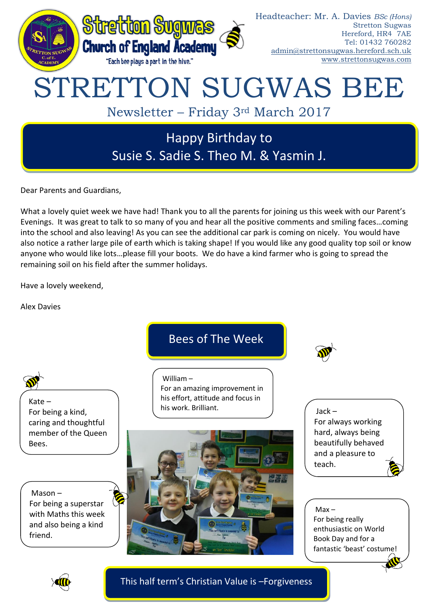

Dear Parents and Guardians,

What a lovely quiet week we have had! Thank you to all the parents for joining us this week with our Parent's Evenings. It was great to talk to so many of you and hear all the positive comments and smiling faces…coming into the school and also leaving! As you can see the additional car park is coming on nicely. You would have also notice a rather large pile of earth which is taking shape! If you would like any good quality top soil or know anyone who would like lots…please fill your boots. We do have a kind farmer who is going to spread the remaining soil on his field after the summer holidays.

Have a lovely weekend,

Alex Davies



![](_page_0_Picture_6.jpeg)

This half term's Christian Value is –Forgiveness